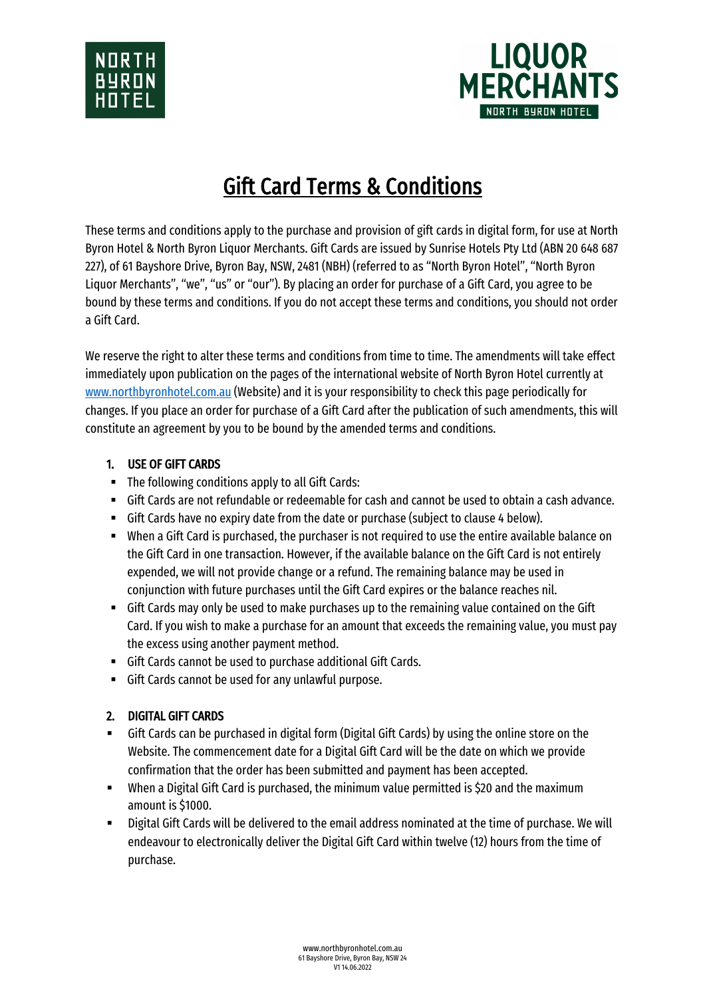



# Gift Card Terms & Conditions

These terms and conditions apply to the purchase and provision of gift cards in digital form, for use at North Byron Hotel & North Byron Liquor Merchants. Gift Cards are issued by Sunrise Hotels Pty Ltd (ABN 20 648 687 227), of 61 Bayshore Drive, Byron Bay, NSW, 2481 (NBH) (referred to as "North Byron Hotel", "North Byron Liquor Merchants", "we", "us" or "our"). By placing an order for purchase of a Gift Card, you agree to be bound by these terms and conditions. If you do not accept these terms and conditions, you should not order a Gift Card.

We reserve the right to alter these terms and conditions from time to time. The amendments will take effect immediately upon publication on the pages of the international website of North Byron Hotel currently at www.northbyronhotel.com.au (Website) and it is your responsibility to check this page periodically for changes. If you place an order for purchase of a Gift Card after the publication of such amendments, this will constitute an agreement by you to be bound by the amended terms and conditions.

## 1. USE OF GIFT CARDS

- The following conditions apply to all Gift Cards:
- Gift Cards are not refundable or redeemable for cash and cannot be used to obtain a cash advance.
- Gift Cards have no expiry date from the date or purchase (subject to clause 4 below).
- When a Gift Card is purchased, the purchaser is not required to use the entire available balance on the Gift Card in one transaction. However, if the available balance on the Gift Card is not entirely expended, we will not provide change or a refund. The remaining balance may be used in conjunction with future purchases until the Gift Card expires or the balance reaches nil.
- Gift Cards may only be used to make purchases up to the remaining value contained on the Gift Card. If you wish to make a purchase for an amount that exceeds the remaining value, you must pay the excess using another payment method.
- Gift Cards cannot be used to purchase additional Gift Cards.
- § Gift Cards cannot be used for any unlawful purpose.

## 2. DIGITAL GIFT CARDS

- Gift Cards can be purchased in digital form (Digital Gift Cards) by using the online store on the Website. The commencement date for a Digital Gift Card will be the date on which we provide confirmation that the order has been submitted and payment has been accepted.
- When a Digital Gift Card is purchased, the minimum value permitted is \$20 and the maximum amount is \$1000.
- Digital Gift Cards will be delivered to the email address nominated at the time of purchase. We will endeavour to electronically deliver the Digital Gift Card within twelve (12) hours from the time of purchase.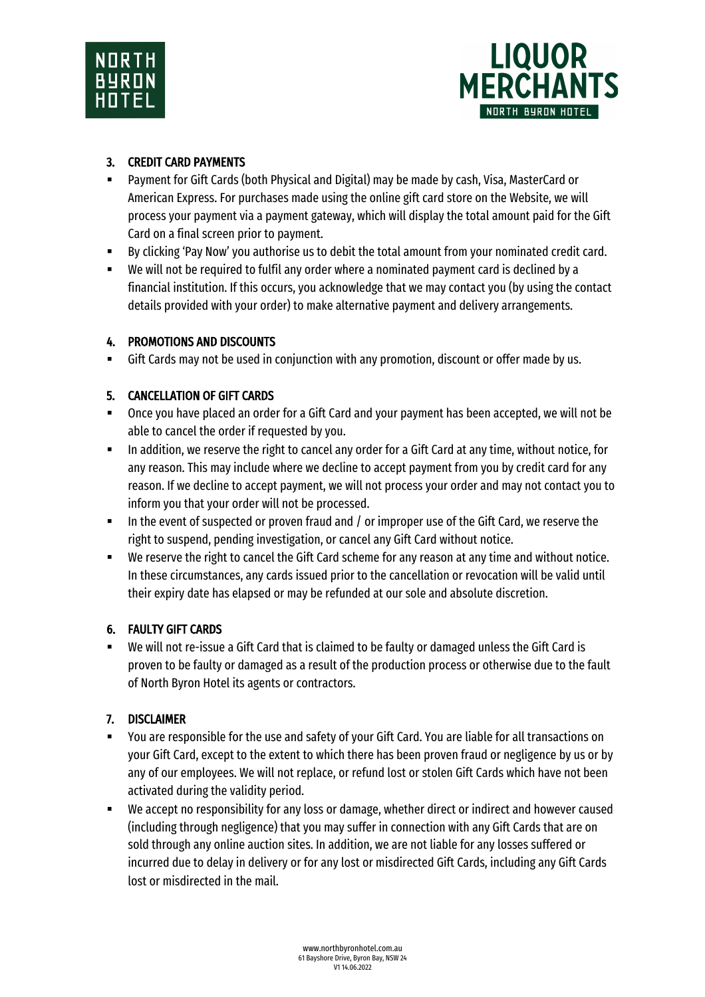



## 3. CREDIT CARD PAYMENTS

- § Payment for Gift Cards (both Physical and Digital) may be made by cash, Visa, MasterCard or American Express. For purchases made using the online gift card store on the Website, we will process your payment via a payment gateway, which will display the total amount paid for the Gift Card on a final screen prior to payment.
- By clicking 'Pay Now' you authorise us to debit the total amount from your nominated credit card.
- We will not be required to fulfil any order where a nominated payment card is declined by a financial institution. If this occurs, you acknowledge that we may contact you (by using the contact details provided with your order) to make alternative payment and delivery arrangements.

#### 4. PROMOTIONS AND DISCOUNTS

§ Gift Cards may not be used in conjunction with any promotion, discount or offer made by us.

## 5. CANCELLATION OF GIFT CARDS

- Once you have placed an order for a Gift Card and your payment has been accepted, we will not be able to cancel the order if requested by you.
- In addition, we reserve the right to cancel any order for a Gift Card at any time, without notice, for any reason. This may include where we decline to accept payment from you by credit card for any reason. If we decline to accept payment, we will not process your order and may not contact you to inform you that your order will not be processed.
- In the event of suspected or proven fraud and / or improper use of the Gift Card, we reserve the right to suspend, pending investigation, or cancel any Gift Card without notice.
- We reserve the right to cancel the Gift Card scheme for any reason at any time and without notice. In these circumstances, any cards issued prior to the cancellation or revocation will be valid until their expiry date has elapsed or may be refunded at our sole and absolute discretion.

#### 6. FAULTY GIFT CARDS

■ We will not re-issue a Gift Card that is claimed to be faulty or damaged unless the Gift Card is proven to be faulty or damaged as a result of the production process or otherwise due to the fault of North Byron Hotel its agents or contractors.

#### 7. DISCLAIMER

- You are responsible for the use and safety of your Gift Card. You are liable for all transactions on your Gift Card, except to the extent to which there has been proven fraud or negligence by us or by any of our employees. We will not replace, or refund lost or stolen Gift Cards which have not been activated during the validity period.
- We accept no responsibility for any loss or damage, whether direct or indirect and however caused (including through negligence) that you may suffer in connection with any Gift Cards that are on sold through any online auction sites. In addition, we are not liable for any losses suffered or incurred due to delay in delivery or for any lost or misdirected Gift Cards, including any Gift Cards lost or misdirected in the mail.